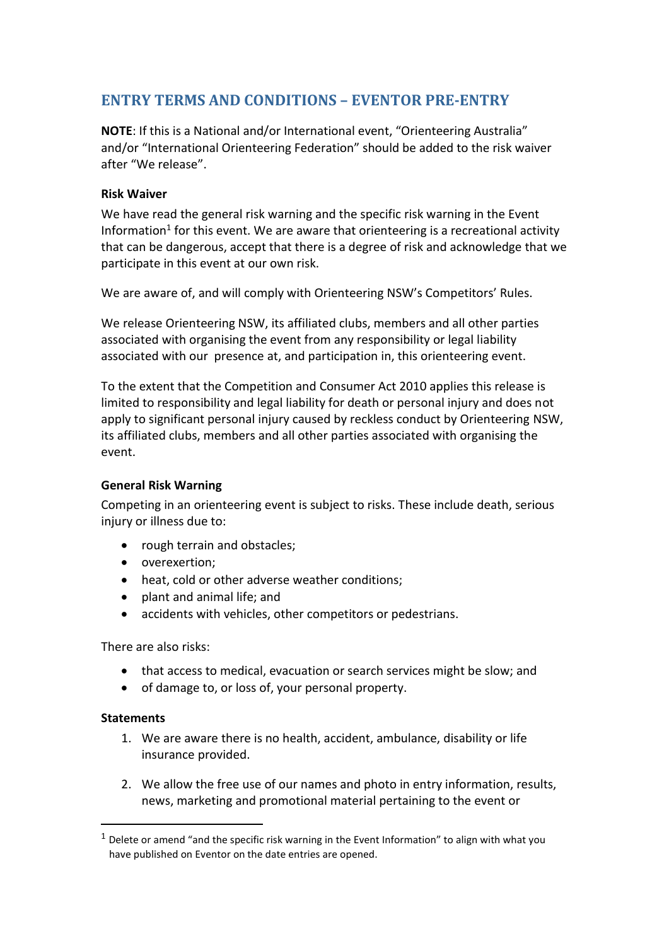## **ENTRY TERMS AND CONDITIONS – EVENTOR PRE-ENTRY**

**NOTE**: If this is a National and/or International event, "Orienteering Australia" and/or "International Orienteering Federation" should be added to the risk waiver after "We release".

## **Risk Waiver**

We have read the general risk warning and the specific risk warning in the Event Information<sup>1</sup> for this event. We are aware that orienteering is a recreational activity that can be dangerous, accept that there is a degree of risk and acknowledge that we participate in this event at our own risk.

We are aware of, and will comply with Orienteering NSW's Competitors' Rules.

We release Orienteering NSW, its affiliated clubs, members and all other parties associated with organising the event from any responsibility or legal liability associated with our presence at, and participation in, this orienteering event.

To the extent that the Competition and Consumer Act 2010 applies this release is limited to responsibility and legal liability for death or personal injury and does not apply to significant personal injury caused by reckless conduct by Orienteering NSW, its affiliated clubs, members and all other parties associated with organising the event.

## **General Risk Warning**

Competing in an orienteering event is subject to risks. These include death, serious injury or illness due to:

- rough terrain and obstacles;
- overexertion;
- heat, cold or other adverse weather conditions;
- plant and animal life; and
- accidents with vehicles, other competitors or pedestrians.

There are also risks:

- that access to medical, evacuation or search services might be slow; and
- of damage to, or loss of, your personal property.

## **Statements**

- 1. We are aware there is no health, accident, ambulance, disability or life insurance provided.
- 2. We allow the free use of our names and photo in entry information, results, news, marketing and promotional material pertaining to the event or

 $1$  Delete or amend "and the specific risk warning in the Event Information" to align with what you have published on Eventor on the date entries are opened.